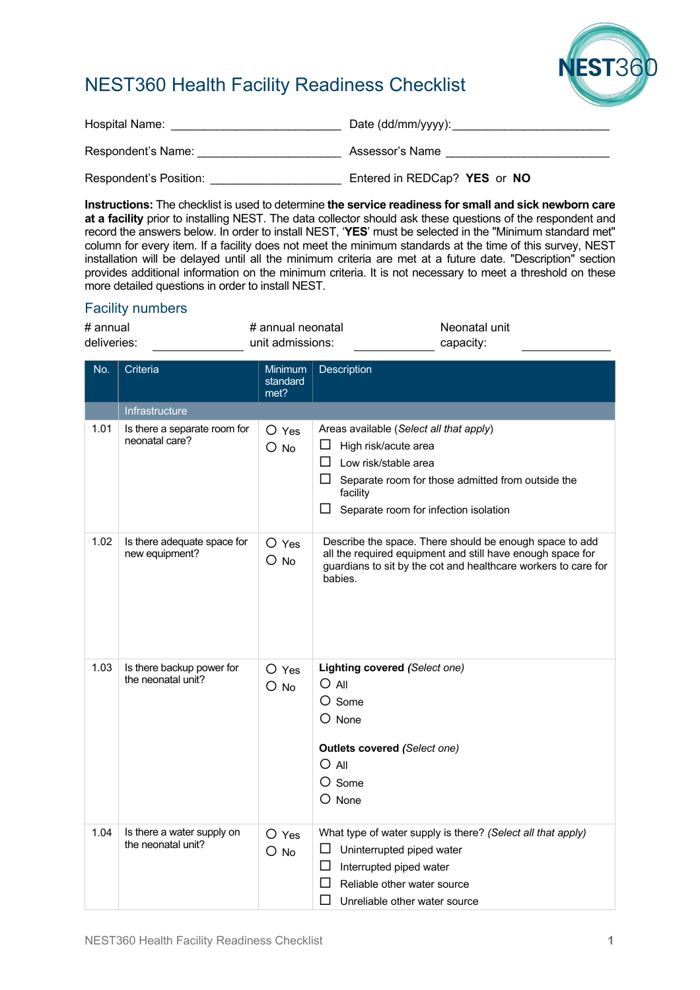

## NEST360 Health Facility Readiness Checklist

| Hospital Name:         |                              |
|------------------------|------------------------------|
| Respondent's Name:     | Assessor's Name              |
| Respondent's Position: | Entered in REDCap? YES or NO |

**Instructions:** The checklist is used to determine **the service readiness for small and sick newborn care at a facility** prior to installing NEST. The data collector should ask these questions of the respondent and record the answers below. In order to install NEST, '**YES**' must be selected in the "Minimum standard met" column for every item. If a facility does not meet the minimum standards at the time of this survey, NEST installation will be delayed until all the minimum criteria are met at a future date. "Description" section provides additional information on the minimum criteria. It is not necessary to meet a threshold on these more detailed questions in order to install NEST.

## Facility numbers

| # annual    | # annual neonatal | Neonatal unit |
|-------------|-------------------|---------------|
| deliveries: | unit admissions:  | capacity:     |
|             |                   |               |

| No.  | Criteria                                         | Minimum<br>standard<br>met? | Description                                                                                                                                                                                                            |
|------|--------------------------------------------------|-----------------------------|------------------------------------------------------------------------------------------------------------------------------------------------------------------------------------------------------------------------|
|      | Infrastructure                                   |                             |                                                                                                                                                                                                                        |
| 1.01 | Is there a separate room for<br>neonatal care?   | $O$ Yes<br>$O$ No           | Areas available (Select all that apply)<br>High risk/acute area<br>Low risk/stable area<br>$\mathsf{L}$<br>⊔<br>Separate room for those admitted from outside the<br>facility<br>Separate room for infection isolation |
| 1.02 | Is there adequate space for<br>new equipment?    | $O$ Yes<br>$O$ No           | Describe the space. There should be enough space to add<br>all the required equipment and still have enough space for<br>guardians to sit by the cot and healthcare workers to care for<br>babies.                     |
| 1.03 | Is there backup power for<br>the neonatal unit?  | $O$ Yes<br>$O$ No           | Lighting covered (Select one)<br>$O$ All<br>$O$ Some<br>$O$ None<br><b>Outlets covered (Select one)</b><br>$O$ All<br>O Some<br>$\bigcirc$ None                                                                        |
| 1.04 | Is there a water supply on<br>the neonatal unit? | $O$ Yes<br>$O$ No           | What type of water supply is there? (Select all that apply)<br>Uninterrupted piped water<br>ப<br>Interrupted piped water<br>ப<br>Reliable other water source<br>ΙI<br>Unreliable other water source                    |